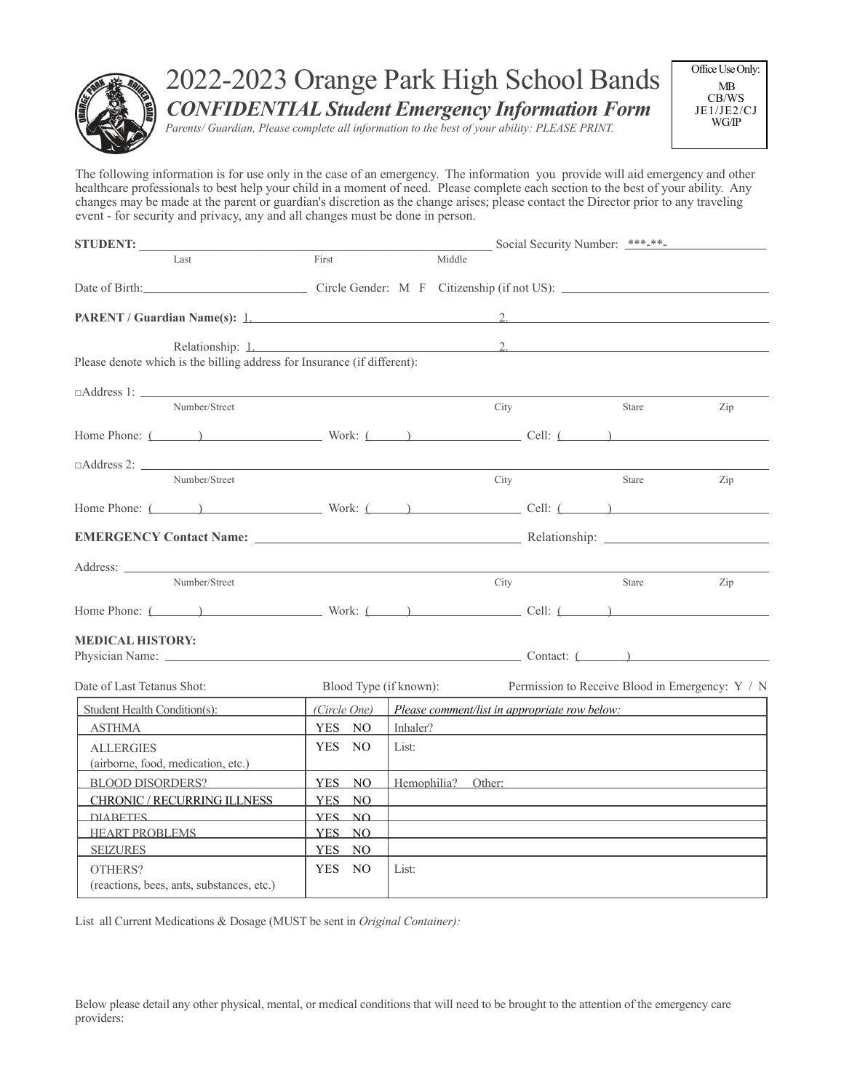

# 2022-2023 Orange Park High School Bands *CONFIDENTIAL Student Emergency Information Form*

*Parents/ Guardian, Please complete all information to the best of your ability: PLEASE PRINT.*

Office Use Only: MB CB/WS JE1/JE2/CJ WG/IP

The following information is for use only in the case of an emergency. The information you provide will aid emergency and other healthcare professionals to best help your child in a moment of need. Please complete each section to the best of your ability. Any changes may be made at the parent or guardian's discretion as the change arises; please contact the Director prior to any traveling event - for security and privacy, any and all changes must be done in person.

| <b>STUDENT:</b>                                                                                                                                                                                                                |                        |                                               |        | Social Security Number: ***-**- |                                                 |     |  |
|--------------------------------------------------------------------------------------------------------------------------------------------------------------------------------------------------------------------------------|------------------------|-----------------------------------------------|--------|---------------------------------|-------------------------------------------------|-----|--|
| Last                                                                                                                                                                                                                           | First                  |                                               | Middle |                                 |                                                 |     |  |
|                                                                                                                                                                                                                                |                        |                                               |        |                                 |                                                 |     |  |
| PARENT / Guardian Name(s): 1.                                                                                                                                                                                                  |                        |                                               |        |                                 | $\overline{2}$                                  |     |  |
| Relationship: 1.<br>Please denote which is the billing address for Insurance (if different):                                                                                                                                   |                        |                                               |        | $2 \left( \frac{1}{2} \right)$  |                                                 |     |  |
| $\Box$ Address 1: $\Box$                                                                                                                                                                                                       |                        |                                               |        |                                 |                                                 |     |  |
| Number/Street                                                                                                                                                                                                                  |                        |                                               |        | City                            | Stare                                           | Zip |  |
| Home Phone: $\qquad \qquad$ Work: $\qquad \qquad$ Cell: $\qquad \qquad$                                                                                                                                                        |                        |                                               |        |                                 |                                                 |     |  |
| $\Box$ Address 2: $\Box$                                                                                                                                                                                                       |                        |                                               |        |                                 |                                                 |     |  |
| Number/Street                                                                                                                                                                                                                  |                        |                                               |        | City                            | Stare                                           | Zip |  |
| Home Phone: $(\_\_\_\_\_\_\$ Work: $(\_\_\_\_\_\_\_\_\_$ Cell: $(\_\_\_\_\_\_\_$                                                                                                                                               |                        |                                               |        |                                 |                                                 |     |  |
|                                                                                                                                                                                                                                |                        |                                               |        |                                 |                                                 |     |  |
| Address:                                                                                                                                                                                                                       |                        |                                               |        |                                 |                                                 |     |  |
| Number/Street                                                                                                                                                                                                                  |                        |                                               |        | City                            | Stare                                           | Zip |  |
| Home Phone: $\overline{ }$ ( $\overline{ }$ ) Work: $\overline{ }$ ( $\overline{ }$ ) Cell: $\overline{ }$                                                                                                                     |                        |                                               |        |                                 |                                                 |     |  |
| <b>MEDICAL HISTORY:</b>                                                                                                                                                                                                        |                        |                                               |        |                                 |                                                 |     |  |
|                                                                                                                                                                                                                                |                        |                                               |        |                                 |                                                 |     |  |
| Date of Last Tetanus Shot:                                                                                                                                                                                                     | Blood Type (if known): |                                               |        |                                 | Permission to Receive Blood in Emergency: Y / N |     |  |
| Student Health Condition(s):                                                                                                                                                                                                   | (Circle One)           | Please comment/list in appropriate row below: |        |                                 |                                                 |     |  |
| <b>ASTHMA</b>                                                                                                                                                                                                                  | YES NO                 | Inhaler?                                      |        |                                 |                                                 |     |  |
| <b>ALLERGIES</b><br>(airborne, food, medication, etc.)                                                                                                                                                                         | YES NO                 | List:                                         |        |                                 |                                                 |     |  |
| <b>BLOOD DISORDERS?</b>                                                                                                                                                                                                        | YES NO                 |                                               |        |                                 | Hemophilia? Other:                              |     |  |
| CHRONIC / RECURRING ILLNESS                                                                                                                                                                                                    | YES NO                 |                                               |        |                                 |                                                 |     |  |
| DIARETES PRODUCED AND ACCOUNT OF THE RESIDENCE OF THE RESIDENCE OF THE RESIDENCE OF THE RESIDENCE OF THE RESIDENCE OF THE RESIDENCE OF THE RESIDENCE OF THE RESIDENCE OF THE RESIDENCE OF THE RESIDENCE OF THE RESIDENCE OF TH | <b>YES NO</b>          |                                               |        |                                 |                                                 |     |  |
| HEART PROBLEMS                                                                                                                                                                                                                 | YES NO                 |                                               |        |                                 |                                                 |     |  |
| <b>SEIZURES</b>                                                                                                                                                                                                                | YES NO                 |                                               |        |                                 |                                                 |     |  |
| OTHERS?<br>(reactions, bees, ants, substances, etc.)                                                                                                                                                                           | YES NO                 | List:                                         |        |                                 |                                                 |     |  |

List all Current Medications & Dosage (MUST be sent in *Original Container):*

Below please detail any other physical, mental, or medical conditions that will need to be brought to the attention of the emergency care providers: